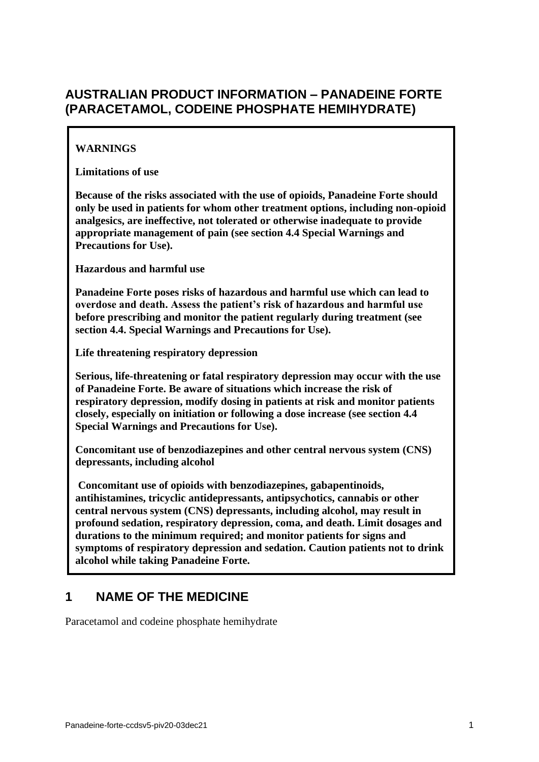# **AUSTRALIAN PRODUCT INFORMATION – PANADEINE FORTE (PARACETAMOL, CODEINE PHOSPHATE HEMIHYDRATE)**

# **WARNINGS**

**Limitations of use** 

**Because of the risks associated with the use of opioids, Panadeine Forte should only be used in patients for whom other treatment options, including non-opioid analgesics, are ineffective, not tolerated or otherwise inadequate to provide appropriate management of pain (see section 4.4 Special Warnings and Precautions for Use).** 

**Hazardous and harmful use** 

**Panadeine Forte poses risks of hazardous and harmful use which can lead to overdose and death. Assess the patient's risk of hazardous and harmful use before prescribing and monitor the patient regularly during treatment (see section 4.4. Special Warnings and Precautions for Use).** 

**Life threatening respiratory depression**

**Serious, life-threatening or fatal respiratory depression may occur with the use of Panadeine Forte. Be aware of situations which increase the risk of respiratory depression, modify dosing in patients at risk and monitor patients closely, especially on initiation or following a dose increase (see section 4.4 Special Warnings and Precautions for Use).** 

**Concomitant use of benzodiazepines and other central nervous system (CNS) depressants, including alcohol**

**Concomitant use of opioids with benzodiazepines, gabapentinoids, antihistamines, tricyclic antidepressants, antipsychotics, cannabis or other central nervous system (CNS) depressants, including alcohol, may result in profound sedation, respiratory depression, coma, and death. Limit dosages and durations to the minimum required; and monitor patients for signs and symptoms of respiratory depression and sedation. Caution patients not to drink alcohol while taking Panadeine Forte.**

# **1 NAME OF THE MEDICINE**

Paracetamol and codeine phosphate hemihydrate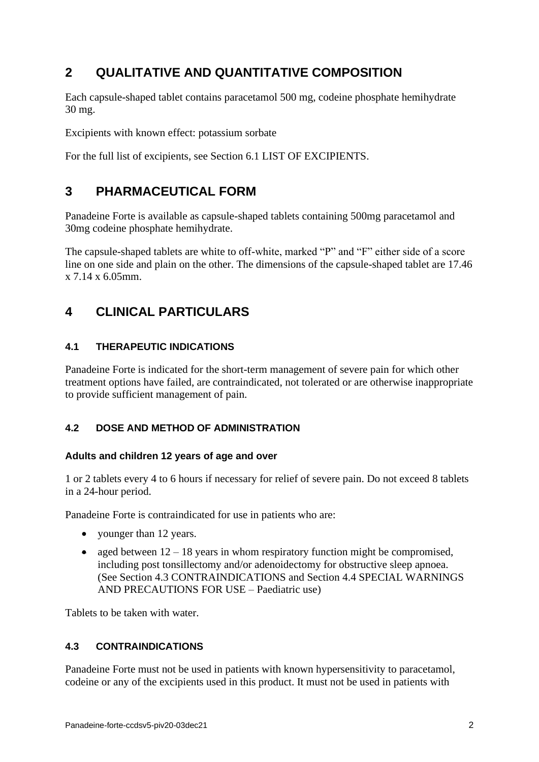# **2 QUALITATIVE AND QUANTITATIVE COMPOSITION**

Each capsule-shaped tablet contains paracetamol 500 mg, codeine phosphate hemihydrate 30 mg.

Excipients with known effect: potassium sorbate

For the full list of excipients, see Section [6.1](#page-17-0) LIST OF EXCIPIENTS.

# **3 PHARMACEUTICAL FORM**

Panadeine Forte is available as capsule-shaped tablets containing 500mg paracetamol and 30mg codeine phosphate hemihydrate.

The capsule-shaped tablets are white to off-white, marked "P" and "F" either side of a score line on one side and plain on the other. The dimensions of the capsule-shaped tablet are 17.46 x 7.14 x 6.05mm.

# **4 CLINICAL PARTICULARS**

# **4.1 THERAPEUTIC INDICATIONS**

Panadeine Forte is indicated for the short-term management of severe pain for which other treatment options have failed, are contraindicated, not tolerated or are otherwise inappropriate to provide sufficient management of pain.

# **4.2 DOSE AND METHOD OF ADMINISTRATION**

## **Adults and children 12 years of age and over**

1 or 2 tablets every 4 to 6 hours if necessary for relief of severe pain. Do not exceed 8 tablets in a 24-hour period.

Panadeine Forte is contraindicated for use in patients who are:

- vounger than 12 years.
- aged between  $12 18$  years in whom respiratory function might be compromised, including post tonsillectomy and/or adenoidectomy for obstructive sleep apnoea. (See Section [4.3](#page-1-0) CONTRAINDICATIONS and Section [4.4](#page-2-0) SPECIAL WARNINGS AND PRECAUTIONS FOR USE – Paediatric use)

<span id="page-1-0"></span>Tablets to be taken with water.

## **4.3 CONTRAINDICATIONS**

Panadeine Forte must not be used in patients with known hypersensitivity to paracetamol, codeine or any of the excipients used in this product. It must not be used in patients with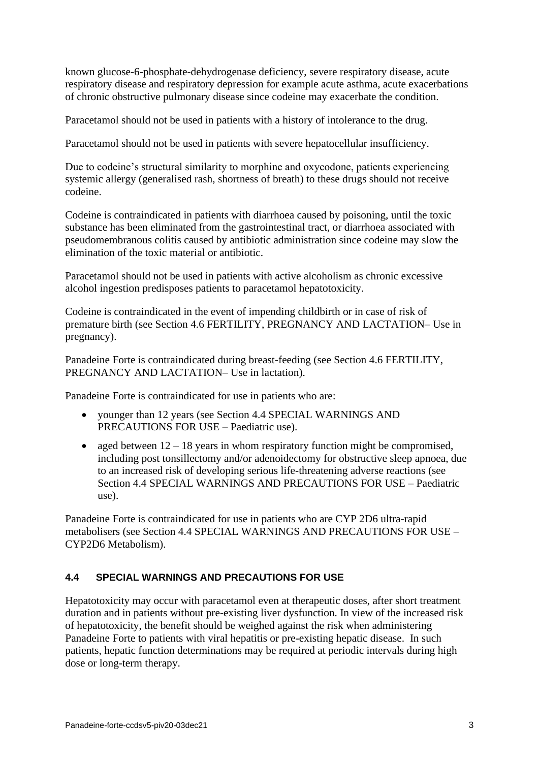known glucose-6-phosphate-dehydrogenase deficiency, severe respiratory disease, acute respiratory disease and respiratory depression for example acute asthma, acute exacerbations of chronic obstructive pulmonary disease since codeine may exacerbate the condition.

Paracetamol should not be used in patients with a history of intolerance to the drug.

Paracetamol should not be used in patients with severe hepatocellular insufficiency.

Due to codeine's structural similarity to morphine and oxycodone, patients experiencing systemic allergy (generalised rash, shortness of breath) to these drugs should not receive codeine.

Codeine is contraindicated in patients with diarrhoea caused by poisoning, until the toxic substance has been eliminated from the gastrointestinal tract, or diarrhoea associated with pseudomembranous colitis caused by antibiotic administration since codeine may slow the elimination of the toxic material or antibiotic.

Paracetamol should not be used in patients with active alcoholism as chronic excessive alcohol ingestion predisposes patients to paracetamol hepatotoxicity.

Codeine is contraindicated in the event of impending childbirth or in case of risk of premature birth (see Section [4.6](#page-11-0) FERTILITY, PREGNANCY AND LACTATION– Use in pregnancy).

Panadeine Forte is contraindicated during breast-feeding (see Section [4.6](#page-11-0) FERTILITY, PREGNANCY AND LACTATION– Use in lactation).

Panadeine Forte is contraindicated for use in patients who are:

- younger than 12 years (see Section [4.4](#page-2-0) SPECIAL WARNINGS AND PRECAUTIONS FOR USE – Paediatric use).
- aged between  $12 18$  years in whom respiratory function might be compromised, including post tonsillectomy and/or adenoidectomy for obstructive sleep apnoea, due to an increased risk of developing serious life-threatening adverse reactions (see Section [4.4](#page-2-0) SPECIAL WARNINGS AND PRECAUTIONS FOR USE – Paediatric use).

Panadeine Forte is contraindicated for use in patients who are CYP 2D6 ultra-rapid metabolisers (see Section [4.4](#page-2-0) SPECIAL WARNINGS AND PRECAUTIONS FOR USE – CYP2D6 Metabolism).

## <span id="page-2-0"></span>**4.4 SPECIAL WARNINGS AND PRECAUTIONS FOR USE**

Hepatotoxicity may occur with paracetamol even at therapeutic doses, after short treatment duration and in patients without pre-existing liver dysfunction. In view of the increased risk of hepatotoxicity, the benefit should be weighed against the risk when administering Panadeine Forte to patients with viral hepatitis or pre-existing hepatic disease. In such patients, hepatic function determinations may be required at periodic intervals during high dose or long-term therapy.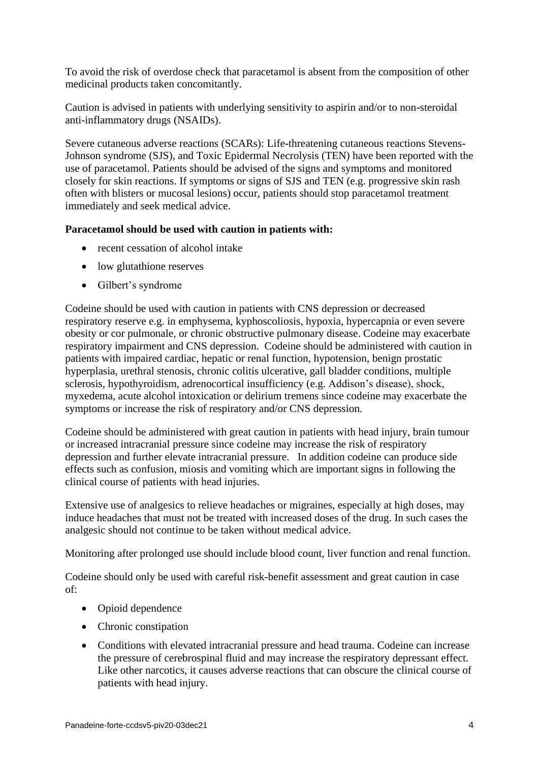To avoid the risk of overdose check that paracetamol is absent from the composition of other medicinal products taken concomitantly.

Caution is advised in patients with underlying sensitivity to aspirin and/or to non-steroidal anti-inflammatory drugs (NSAIDs).

Severe cutaneous adverse reactions (SCARs): Life-threatening cutaneous reactions Stevens-Johnson syndrome (SJS), and Toxic Epidermal Necrolysis (TEN) have been reported with the use of paracetamol. Patients should be advised of the signs and symptoms and monitored closely for skin reactions. If symptoms or signs of SJS and TEN (e.g. progressive skin rash often with blisters or mucosal lesions) occur, patients should stop paracetamol treatment immediately and seek medical advice.

## **Paracetamol should be used with caution in patients with:**

- recent cessation of alcohol intake
- low glutathione reserves
- Gilbert's syndrome

Codeine should be used with caution in patients with CNS depression or decreased respiratory reserve e.g. in emphysema, kyphoscoliosis, hypoxia, hypercapnia or even severe obesity or cor pulmonale, or chronic obstructive pulmonary disease. Codeine may exacerbate respiratory impairment and CNS depression. Codeine should be administered with caution in patients with impaired cardiac, hepatic or renal function, hypotension, benign prostatic hyperplasia, urethral stenosis, chronic colitis ulcerative, gall bladder conditions, multiple sclerosis, hypothyroidism, adrenocortical insufficiency (e.g. Addison's disease), shock, myxedema, acute alcohol intoxication or delirium tremens since codeine may exacerbate the symptoms or increase the risk of respiratory and/or CNS depression.

Codeine should be administered with great caution in patients with head injury, brain tumour or increased intracranial pressure since codeine may increase the risk of respiratory depression and further elevate intracranial pressure. In addition codeine can produce side effects such as confusion, miosis and vomiting which are important signs in following the clinical course of patients with head injuries.

Extensive use of analgesics to relieve headaches or migraines, especially at high doses, may induce headaches that must not be treated with increased doses of the drug. In such cases the analgesic should not continue to be taken without medical advice.

Monitoring after prolonged use should include blood count, liver function and renal function.

Codeine should only be used with careful risk-benefit assessment and great caution in case of:

- Opioid dependence
- Chronic constipation
- Conditions with elevated intracranial pressure and head trauma. Codeine can increase the pressure of cerebrospinal fluid and may increase the respiratory depressant effect. Like other narcotics, it causes adverse reactions that can obscure the clinical course of patients with head injury.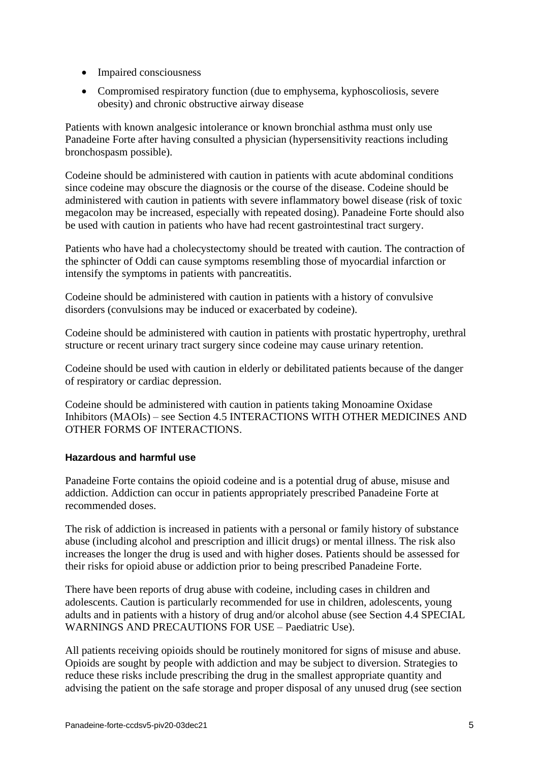- Impaired consciousness
- Compromised respiratory function (due to emphysema, kyphoscoliosis, severe obesity) and chronic obstructive airway disease

Patients with known analgesic intolerance or known bronchial asthma must only use Panadeine Forte after having consulted a physician (hypersensitivity reactions including bronchospasm possible).

Codeine should be administered with caution in patients with acute abdominal conditions since codeine may obscure the diagnosis or the course of the disease. Codeine should be administered with caution in patients with severe inflammatory bowel disease (risk of toxic megacolon may be increased, especially with repeated dosing). Panadeine Forte should also be used with caution in patients who have had recent gastrointestinal tract surgery.

Patients who have had a cholecystectomy should be treated with caution. The contraction of the sphincter of Oddi can cause symptoms resembling those of myocardial infarction or intensify the symptoms in patients with pancreatitis.

Codeine should be administered with caution in patients with a history of convulsive disorders (convulsions may be induced or exacerbated by codeine).

Codeine should be administered with caution in patients with prostatic hypertrophy, urethral structure or recent urinary tract surgery since codeine may cause urinary retention.

Codeine should be used with caution in elderly or debilitated patients because of the danger of respiratory or cardiac depression.

Codeine should be administered with caution in patients taking Monoamine Oxidase Inhibitors (MAOIs) – see Section [4.5](#page-9-0) INTERACTIONS WITH OTHER MEDICINES AND OTHER FORMS OF INTERACTIONS.

## **Hazardous and harmful use**

Panadeine Forte contains the opioid codeine and is a potential drug of abuse, misuse and addiction. Addiction can occur in patients appropriately prescribed Panadeine Forte at recommended doses.

The risk of addiction is increased in patients with a personal or family history of substance abuse (including alcohol and prescription and illicit drugs) or mental illness. The risk also increases the longer the drug is used and with higher doses. Patients should be assessed for their risks for opioid abuse or addiction prior to being prescribed Panadeine Forte.

There have been reports of drug abuse with codeine, including cases in children and adolescents. Caution is particularly recommended for use in children, adolescents, young adults and in patients with a history of drug and/or alcohol abuse (see Section [4.4](#page-2-0) SPECIAL WARNINGS AND PRECAUTIONS FOR USE – Paediatric Use).

All patients receiving opioids should be routinely monitored for signs of misuse and abuse. Opioids are sought by people with addiction and may be subject to diversion. Strategies to reduce these risks include prescribing the drug in the smallest appropriate quantity and advising the patient on the safe storage and proper disposal of any unused drug (see section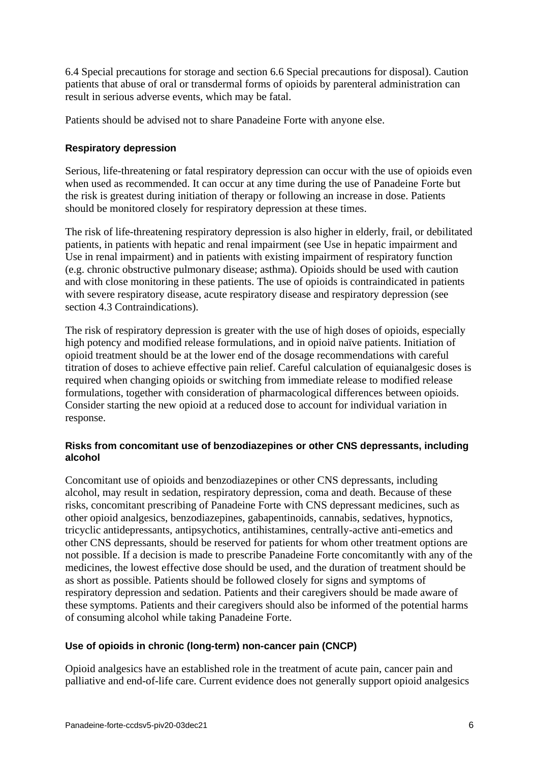6.4 Special precautions for storage and section 6.6 Special precautions for disposal). Caution patients that abuse of oral or transdermal forms of opioids by parenteral administration can result in serious adverse events, which may be fatal.

Patients should be advised not to share Panadeine Forte with anyone else.

## **Respiratory depression**

Serious, life-threatening or fatal respiratory depression can occur with the use of opioids even when used as recommended. It can occur at any time during the use of Panadeine Forte but the risk is greatest during initiation of therapy or following an increase in dose. Patients should be monitored closely for respiratory depression at these times.

The risk of life-threatening respiratory depression is also higher in elderly, frail, or debilitated patients, in patients with hepatic and renal impairment (see Use in hepatic impairment and Use in renal impairment) and in patients with existing impairment of respiratory function (e.g. chronic obstructive pulmonary disease; asthma). Opioids should be used with caution and with close monitoring in these patients. The use of opioids is contraindicated in patients with severe respiratory disease, acute respiratory disease and respiratory depression (see section 4.3 Contraindications).

The risk of respiratory depression is greater with the use of high doses of opioids, especially high potency and modified release formulations, and in opioid naïve patients. Initiation of opioid treatment should be at the lower end of the dosage recommendations with careful titration of doses to achieve effective pain relief. Careful calculation of equianalgesic doses is required when changing opioids or switching from immediate release to modified release formulations, together with consideration of pharmacological differences between opioids. Consider starting the new opioid at a reduced dose to account for individual variation in response.

## **Risks from concomitant use of benzodiazepines or other CNS depressants, including alcohol**

Concomitant use of opioids and benzodiazepines or other CNS depressants, including alcohol, may result in sedation, respiratory depression, coma and death. Because of these risks, concomitant prescribing of Panadeine Forte with CNS depressant medicines, such as other opioid analgesics, benzodiazepines, gabapentinoids, cannabis, sedatives, hypnotics, tricyclic antidepressants, antipsychotics, antihistamines, centrally-active anti-emetics and other CNS depressants, should be reserved for patients for whom other treatment options are not possible. If a decision is made to prescribe Panadeine Forte concomitantly with any of the medicines, the lowest effective dose should be used, and the duration of treatment should be as short as possible. Patients should be followed closely for signs and symptoms of respiratory depression and sedation. Patients and their caregivers should be made aware of these symptoms. Patients and their caregivers should also be informed of the potential harms of consuming alcohol while taking Panadeine Forte.

## **Use of opioids in chronic (long-term) non-cancer pain (CNCP)**

Opioid analgesics have an established role in the treatment of acute pain, cancer pain and palliative and end-of-life care. Current evidence does not generally support opioid analgesics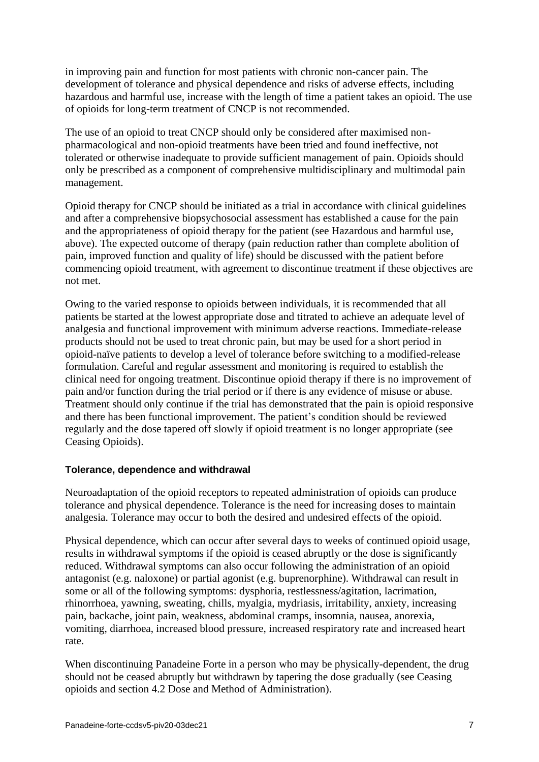in improving pain and function for most patients with chronic non-cancer pain. The development of tolerance and physical dependence and risks of adverse effects, including hazardous and harmful use, increase with the length of time a patient takes an opioid. The use of opioids for long-term treatment of CNCP is not recommended.

The use of an opioid to treat CNCP should only be considered after maximised nonpharmacological and non-opioid treatments have been tried and found ineffective, not tolerated or otherwise inadequate to provide sufficient management of pain. Opioids should only be prescribed as a component of comprehensive multidisciplinary and multimodal pain management.

Opioid therapy for CNCP should be initiated as a trial in accordance with clinical guidelines and after a comprehensive biopsychosocial assessment has established a cause for the pain and the appropriateness of opioid therapy for the patient (see Hazardous and harmful use, above). The expected outcome of therapy (pain reduction rather than complete abolition of pain, improved function and quality of life) should be discussed with the patient before commencing opioid treatment, with agreement to discontinue treatment if these objectives are not met.

Owing to the varied response to opioids between individuals, it is recommended that all patients be started at the lowest appropriate dose and titrated to achieve an adequate level of analgesia and functional improvement with minimum adverse reactions. Immediate-release products should not be used to treat chronic pain, but may be used for a short period in opioid-naïve patients to develop a level of tolerance before switching to a modified-release formulation. Careful and regular assessment and monitoring is required to establish the clinical need for ongoing treatment. Discontinue opioid therapy if there is no improvement of pain and/or function during the trial period or if there is any evidence of misuse or abuse. Treatment should only continue if the trial has demonstrated that the pain is opioid responsive and there has been functional improvement. The patient's condition should be reviewed regularly and the dose tapered off slowly if opioid treatment is no longer appropriate (see Ceasing Opioids).

### **Tolerance, dependence and withdrawal**

Neuroadaptation of the opioid receptors to repeated administration of opioids can produce tolerance and physical dependence. Tolerance is the need for increasing doses to maintain analgesia. Tolerance may occur to both the desired and undesired effects of the opioid.

Physical dependence, which can occur after several days to weeks of continued opioid usage, results in withdrawal symptoms if the opioid is ceased abruptly or the dose is significantly reduced. Withdrawal symptoms can also occur following the administration of an opioid antagonist (e.g. naloxone) or partial agonist (e.g. buprenorphine). Withdrawal can result in some or all of the following symptoms: dysphoria, restlessness/agitation, lacrimation, rhinorrhoea, yawning, sweating, chills, myalgia, mydriasis, irritability, anxiety, increasing pain, backache, joint pain, weakness, abdominal cramps, insomnia, nausea, anorexia, vomiting, diarrhoea, increased blood pressure, increased respiratory rate and increased heart rate.

When discontinuing Panadeine Forte in a person who may be physically-dependent, the drug should not be ceased abruptly but withdrawn by tapering the dose gradually (see Ceasing opioids and section 4.2 Dose and Method of Administration).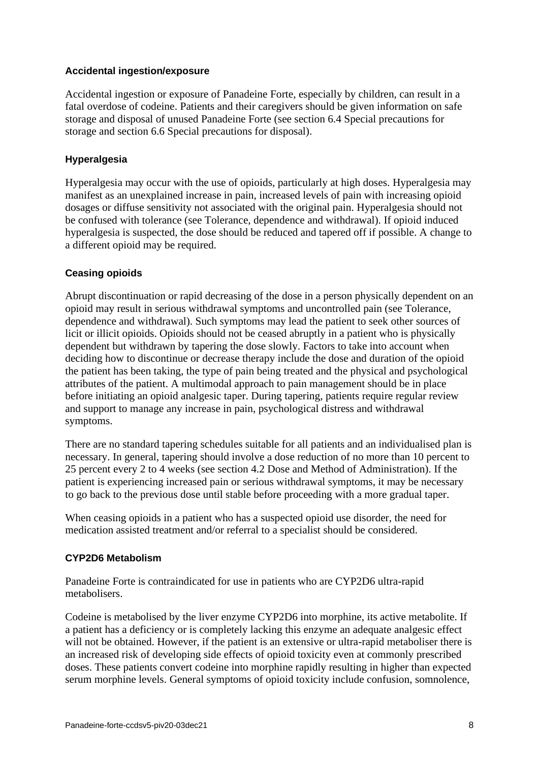## **Accidental ingestion/exposure**

Accidental ingestion or exposure of Panadeine Forte, especially by children, can result in a fatal overdose of codeine. Patients and their caregivers should be given information on safe storage and disposal of unused Panadeine Forte (see section 6.4 Special precautions for storage and section 6.6 Special precautions for disposal).

## **Hyperalgesia**

Hyperalgesia may occur with the use of opioids, particularly at high doses. Hyperalgesia may manifest as an unexplained increase in pain, increased levels of pain with increasing opioid dosages or diffuse sensitivity not associated with the original pain. Hyperalgesia should not be confused with tolerance (see Tolerance, dependence and withdrawal). If opioid induced hyperalgesia is suspected, the dose should be reduced and tapered off if possible. A change to a different opioid may be required.

## **Ceasing opioids**

Abrupt discontinuation or rapid decreasing of the dose in a person physically dependent on an opioid may result in serious withdrawal symptoms and uncontrolled pain (see Tolerance, dependence and withdrawal). Such symptoms may lead the patient to seek other sources of licit or illicit opioids. Opioids should not be ceased abruptly in a patient who is physically dependent but withdrawn by tapering the dose slowly. Factors to take into account when deciding how to discontinue or decrease therapy include the dose and duration of the opioid the patient has been taking, the type of pain being treated and the physical and psychological attributes of the patient. A multimodal approach to pain management should be in place before initiating an opioid analgesic taper. During tapering, patients require regular review and support to manage any increase in pain, psychological distress and withdrawal symptoms.

There are no standard tapering schedules suitable for all patients and an individualised plan is necessary. In general, tapering should involve a dose reduction of no more than 10 percent to 25 percent every 2 to 4 weeks (see section 4.2 Dose and Method of Administration). If the patient is experiencing increased pain or serious withdrawal symptoms, it may be necessary to go back to the previous dose until stable before proceeding with a more gradual taper.

When ceasing opioids in a patient who has a suspected opioid use disorder, the need for medication assisted treatment and/or referral to a specialist should be considered.

## **CYP2D6 Metabolism**

Panadeine Forte is contraindicated for use in patients who are CYP2D6 ultra-rapid metabolisers.

Codeine is metabolised by the liver enzyme CYP2D6 into morphine, its active metabolite. If a patient has a deficiency or is completely lacking this enzyme an adequate analgesic effect will not be obtained. However, if the patient is an extensive or ultra-rapid metaboliser there is an increased risk of developing side effects of opioid toxicity even at commonly prescribed doses. These patients convert codeine into morphine rapidly resulting in higher than expected serum morphine levels. General symptoms of opioid toxicity include confusion, somnolence,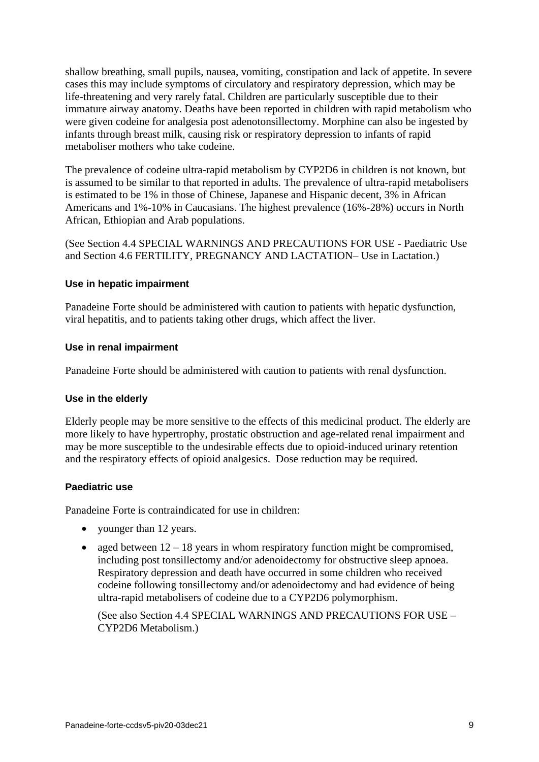shallow breathing, small pupils, nausea, vomiting, constipation and lack of appetite. In severe cases this may include symptoms of circulatory and respiratory depression, which may be life-threatening and very rarely fatal. Children are particularly susceptible due to their immature airway anatomy. Deaths have been reported in children with rapid metabolism who were given codeine for analgesia post adenotonsillectomy. Morphine can also be ingested by infants through breast milk, causing risk or respiratory depression to infants of rapid metaboliser mothers who take codeine.

The prevalence of codeine ultra-rapid metabolism by CYP2D6 in children is not known, but is assumed to be similar to that reported in adults. The prevalence of ultra-rapid metabolisers is estimated to be 1% in those of Chinese, Japanese and Hispanic decent, 3% in African Americans and 1%-10% in Caucasians. The highest prevalence (16%-28%) occurs in North African, Ethiopian and Arab populations.

(See Section [4.4](#page-2-0) SPECIAL WARNINGS AND PRECAUTIONS FOR USE - Paediatric Use and Section [4.6](#page-11-0) FERTILITY, PREGNANCY AND LACTATION– Use in Lactation.)

## **Use in hepatic impairment**

Panadeine Forte should be administered with caution to patients with hepatic dysfunction, viral hepatitis, and to patients taking other drugs, which affect the liver.

## **Use in renal impairment**

Panadeine Forte should be administered with caution to patients with renal dysfunction.

### **Use in the elderly**

Elderly people may be more sensitive to the effects of this medicinal product. The elderly are more likely to have hypertrophy, prostatic obstruction and age-related renal impairment and may be more susceptible to the undesirable effects due to opioid-induced urinary retention and the respiratory effects of opioid analgesics. Dose reduction may be required.

## **Paediatric use**

Panadeine Forte is contraindicated for use in children:

- younger than 12 years.
- aged between  $12 18$  years in whom respiratory function might be compromised, including post tonsillectomy and/or adenoidectomy for obstructive sleep apnoea. Respiratory depression and death have occurred in some children who received codeine following tonsillectomy and/or adenoidectomy and had evidence of being ultra-rapid metabolisers of codeine due to a CYP2D6 polymorphism.

(See also Section [4.4](#page-2-0) SPECIAL WARNINGS AND PRECAUTIONS FOR USE – CYP2D6 Metabolism.)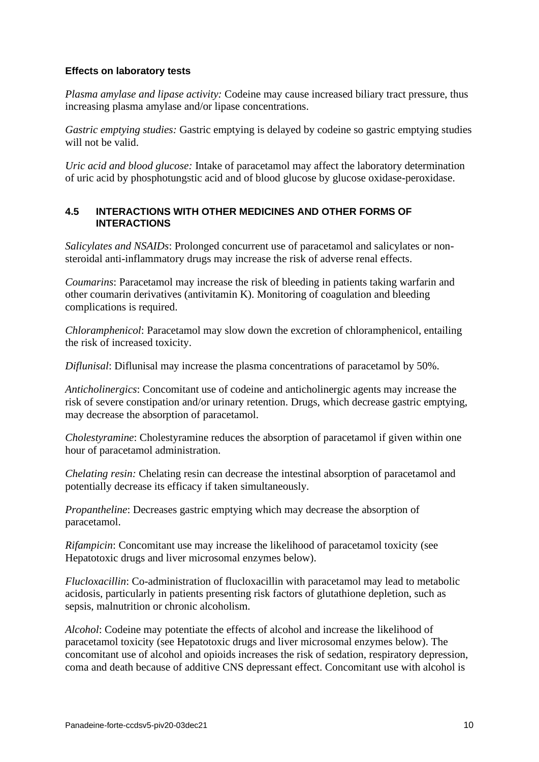### **Effects on laboratory tests**

*Plasma amylase and lipase activity:* Codeine may cause increased biliary tract pressure, thus increasing plasma amylase and/or lipase concentrations.

*Gastric emptying studies:* Gastric emptying is delayed by codeine so gastric emptying studies will not be valid.

*Uric acid and blood glucose:* Intake of paracetamol may affect the laboratory determination of uric acid by phosphotungstic acid and of blood glucose by glucose oxidase-peroxidase.

## <span id="page-9-0"></span>**4.5 INTERACTIONS WITH OTHER MEDICINES AND OTHER FORMS OF INTERACTIONS**

*Salicylates and NSAIDs*: Prolonged concurrent use of paracetamol and salicylates or nonsteroidal anti-inflammatory drugs may increase the risk of adverse renal effects.

*Coumarins*: Paracetamol may increase the risk of bleeding in patients taking warfarin and other coumarin derivatives (antivitamin K). Monitoring of coagulation and bleeding complications is required.

*Chloramphenicol*: Paracetamol may slow down the excretion of chloramphenicol, entailing the risk of increased toxicity.

*Diflunisal*: Diflunisal may increase the plasma concentrations of paracetamol by 50%.

*Anticholinergics*: Concomitant use of codeine and anticholinergic agents may increase the risk of severe constipation and/or urinary retention. Drugs, which decrease gastric emptying, may decrease the absorption of paracetamol.

*Cholestyramine*: Cholestyramine reduces the absorption of paracetamol if given within one hour of paracetamol administration.

*Chelating resin:* Chelating resin can decrease the intestinal absorption of paracetamol and potentially decrease its efficacy if taken simultaneously.

*Propantheline*: Decreases gastric emptying which may decrease the absorption of paracetamol.

*Rifampicin*: Concomitant use may increase the likelihood of paracetamol toxicity (see Hepatotoxic drugs and liver microsomal enzymes below).

*Flucloxacillin*: Co-administration of flucloxacillin with paracetamol may lead to metabolic acidosis, particularly in patients presenting risk factors of glutathione depletion, such as sepsis, malnutrition or chronic alcoholism.

*Alcohol*: Codeine may potentiate the effects of alcohol and increase the likelihood of paracetamol toxicity (see Hepatotoxic drugs and liver microsomal enzymes below). The concomitant use of alcohol and opioids increases the risk of sedation, respiratory depression, coma and death because of additive CNS depressant effect. Concomitant use with alcohol is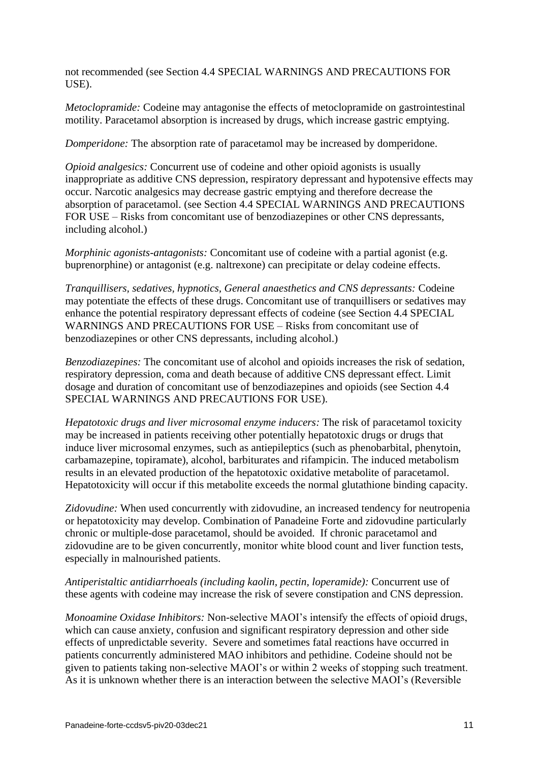not recommended (see Section [4.4](#page-2-0) SPECIAL WARNINGS AND PRECAUTIONS FOR USE).

*Metoclopramide:* Codeine may antagonise the effects of metoclopramide on gastrointestinal motility. Paracetamol absorption is increased by drugs, which increase gastric emptying.

*Domperidone:* The absorption rate of paracetamol may be increased by domperidone.

*Opioid analgesics:* Concurrent use of codeine and other opioid agonists is usually inappropriate as additive CNS depression, respiratory depressant and hypotensive effects may occur. Narcotic analgesics may decrease gastric emptying and therefore decrease the absorption of paracetamol. (see Section [4.4](#page-2-0) SPECIAL WARNINGS AND PRECAUTIONS FOR USE – Risks from concomitant use of benzodiazepines or other CNS depressants, including alcohol.)

*Morphinic agonists-antagonists:* Concomitant use of codeine with a partial agonist (e.g. buprenorphine) or antagonist (e.g. naltrexone) can precipitate or delay codeine effects.

*Tranquillisers, sedatives, hypnotics, General anaesthetics and CNS depressants:* Codeine may potentiate the effects of these drugs. Concomitant use of tranquillisers or sedatives may enhance the potential respiratory depressant effects of codeine (see Section [4.4](#page-2-0) SPECIAL WARNINGS AND PRECAUTIONS FOR USE – Risks from concomitant use of benzodiazepines or other CNS depressants, including alcohol.)

*Benzodiazepines:* The concomitant use of alcohol and opioids increases the risk of sedation, respiratory depression, coma and death because of additive CNS depressant effect. Limit dosage and duration of concomitant use of benzodiazepines and opioids (see Section [4.4](#page-2-0) SPECIAL WARNINGS AND PRECAUTIONS FOR USE).

*Hepatotoxic drugs and liver microsomal enzyme inducers:* The risk of paracetamol toxicity may be increased in patients receiving other potentially hepatotoxic drugs or drugs that induce liver microsomal enzymes, such as antiepileptics (such as phenobarbital, phenytoin, carbamazepine, topiramate), alcohol, barbiturates and rifampicin. The induced metabolism results in an elevated production of the hepatotoxic oxidative metabolite of paracetamol. Hepatotoxicity will occur if this metabolite exceeds the normal glutathione binding capacity.

*Zidovudine:* When used concurrently with zidovudine, an increased tendency for neutropenia or hepatotoxicity may develop. Combination of Panadeine Forte and zidovudine particularly chronic or multiple-dose paracetamol, should be avoided. If chronic paracetamol and zidovudine are to be given concurrently, monitor white blood count and liver function tests, especially in malnourished patients.

*Antiperistaltic antidiarrhoeals (including kaolin, pectin, loperamide):* Concurrent use of these agents with codeine may increase the risk of severe constipation and CNS depression.

*Monoamine Oxidase Inhibitors:* Non-selective MAOI's intensify the effects of opioid drugs, which can cause anxiety, confusion and significant respiratory depression and other side effects of unpredictable severity. Severe and sometimes fatal reactions have occurred in patients concurrently administered MAO inhibitors and pethidine. Codeine should not be given to patients taking non-selective MAOI's or within 2 weeks of stopping such treatment. As it is unknown whether there is an interaction between the selective MAOI's (Reversible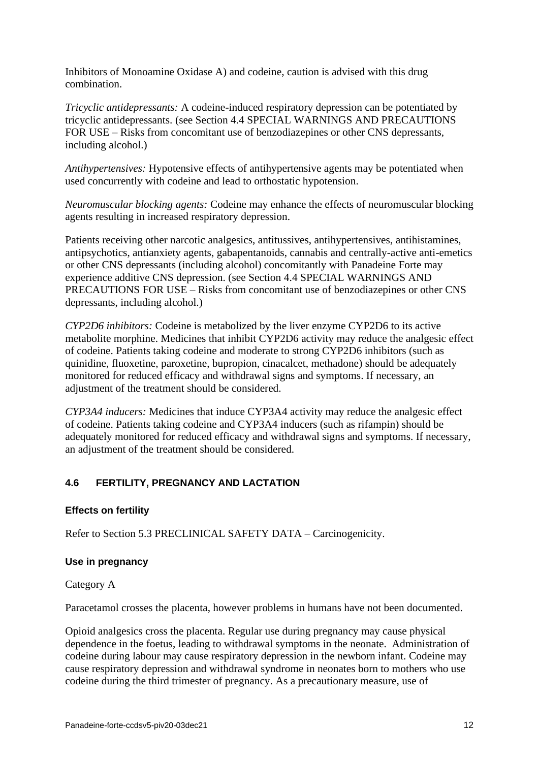Inhibitors of Monoamine Oxidase A) and codeine, caution is advised with this drug combination.

*Tricyclic antidepressants:* A codeine-induced respiratory depression can be potentiated by tricyclic antidepressants. (see Section [4.4](#page-2-0) SPECIAL WARNINGS AND PRECAUTIONS FOR USE – Risks from concomitant use of benzodiazepines or other CNS depressants, including alcohol.)

*Antihypertensives:* Hypotensive effects of antihypertensive agents may be potentiated when used concurrently with codeine and lead to orthostatic hypotension.

*Neuromuscular blocking agents:* Codeine may enhance the effects of neuromuscular blocking agents resulting in increased respiratory depression.

Patients receiving other narcotic analgesics, antitussives, antihypertensives, antihistamines, antipsychotics, antianxiety agents, gabapentanoids, cannabis and centrally-active anti-emetics or other CNS depressants (including alcohol) concomitantly with Panadeine Forte may experience additive CNS depression. (see Section [4.4](#page-2-0) SPECIAL WARNINGS AND PRECAUTIONS FOR USE – Risks from concomitant use of benzodiazepines or other CNS depressants, including alcohol.)

*CYP2D6 inhibitors:* Codeine is metabolized by the liver enzyme CYP2D6 to its active metabolite morphine. Medicines that inhibit CYP2D6 activity may reduce the analgesic effect of codeine. Patients taking codeine and moderate to strong CYP2D6 inhibitors (such as quinidine, fluoxetine, paroxetine, bupropion, cinacalcet, methadone) should be adequately monitored for reduced efficacy and withdrawal signs and symptoms. If necessary, an adjustment of the treatment should be considered.

*CYP3A4 inducers:* Medicines that induce CYP3A4 activity may reduce the analgesic effect of codeine. Patients taking codeine and CYP3A4 inducers (such as rifampin) should be adequately monitored for reduced efficacy and withdrawal signs and symptoms. If necessary, an adjustment of the treatment should be considered.

## <span id="page-11-0"></span>**4.6 FERTILITY, PREGNANCY AND LACTATION**

## **Effects on fertility**

Refer to Section [5.3](#page-17-1) PRECLINICAL SAFETY DATA – Carcinogenicity.

### **Use in pregnancy**

Category A

Paracetamol crosses the placenta, however problems in humans have not been documented.

Opioid analgesics cross the placenta. Regular use during pregnancy may cause physical dependence in the foetus, leading to withdrawal symptoms in the neonate. Administration of codeine during labour may cause respiratory depression in the newborn infant. Codeine may cause respiratory depression and withdrawal syndrome in neonates born to mothers who use codeine during the third trimester of pregnancy. As a precautionary measure, use of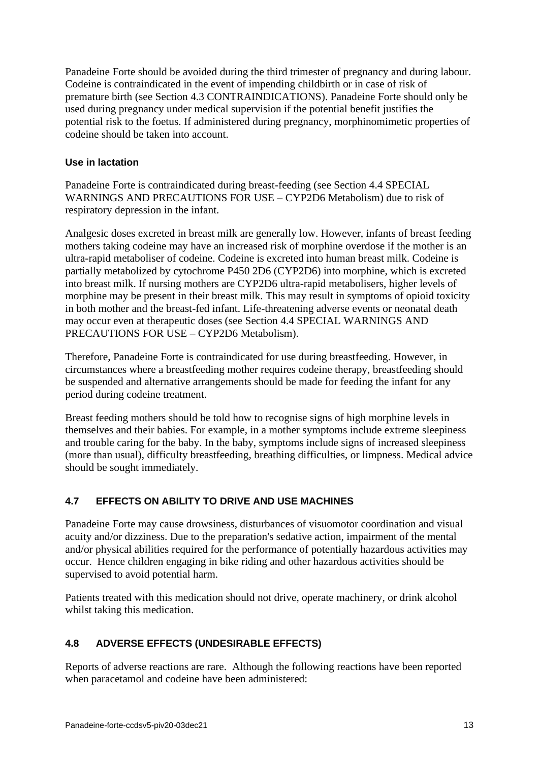Panadeine Forte should be avoided during the third trimester of pregnancy and during labour. Codeine is contraindicated in the event of impending childbirth or in case of risk of premature birth (see Section [4.3](#page-1-0) CONTRAINDICATIONS). Panadeine Forte should only be used during pregnancy under medical supervision if the potential benefit justifies the potential risk to the foetus. If administered during pregnancy, morphinomimetic properties of codeine should be taken into account.

## **Use in lactation**

Panadeine Forte is contraindicated during breast-feeding (see Section [4.4](#page-2-0) SPECIAL WARNINGS AND PRECAUTIONS FOR USE – CYP2D6 Metabolism) due to risk of respiratory depression in the infant.

Analgesic doses excreted in breast milk are generally low. However, infants of breast feeding mothers taking codeine may have an increased risk of morphine overdose if the mother is an ultra-rapid metaboliser of codeine. Codeine is excreted into human breast milk. Codeine is partially metabolized by cytochrome P450 2D6 (CYP2D6) into morphine, which is excreted into breast milk. If nursing mothers are CYP2D6 ultra-rapid metabolisers, higher levels of morphine may be present in their breast milk. This may result in symptoms of opioid toxicity in both mother and the breast-fed infant. Life-threatening adverse events or neonatal death may occur even at therapeutic doses (see Section [4.4](#page-2-0) SPECIAL WARNINGS AND PRECAUTIONS FOR USE – CYP2D6 Metabolism).

Therefore, Panadeine Forte is contraindicated for use during breastfeeding. However, in circumstances where a breastfeeding mother requires codeine therapy, breastfeeding should be suspended and alternative arrangements should be made for feeding the infant for any period during codeine treatment.

Breast feeding mothers should be told how to recognise signs of high morphine levels in themselves and their babies. For example, in a mother symptoms include extreme sleepiness and trouble caring for the baby. In the baby, symptoms include signs of increased sleepiness (more than usual), difficulty breastfeeding, breathing difficulties, or limpness. Medical advice should be sought immediately.

## **4.7 EFFECTS ON ABILITY TO DRIVE AND USE MACHINES**

Panadeine Forte may cause drowsiness, disturbances of visuomotor coordination and visual acuity and/or dizziness. Due to the preparation's sedative action, impairment of the mental and/or physical abilities required for the performance of potentially hazardous activities may occur. Hence children engaging in bike riding and other hazardous activities should be supervised to avoid potential harm.

Patients treated with this medication should not drive, operate machinery, or drink alcohol whilst taking this medication.

## **4.8 ADVERSE EFFECTS (UNDESIRABLE EFFECTS)**

Reports of adverse reactions are rare. Although the following reactions have been reported when paracetamol and codeine have been administered: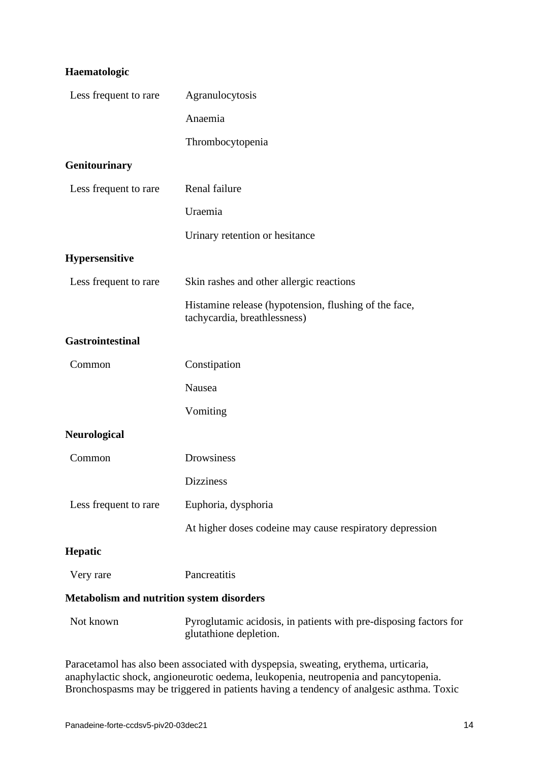# **Haematologic**

| Less frequent to rare                            | Agranulocytosis                                                                             |
|--------------------------------------------------|---------------------------------------------------------------------------------------------|
|                                                  | Anaemia                                                                                     |
|                                                  | Thrombocytopenia                                                                            |
| <b>Genitourinary</b>                             |                                                                                             |
| Less frequent to rare                            | Renal failure                                                                               |
|                                                  | Uraemia                                                                                     |
|                                                  | Urinary retention or hesitance                                                              |
| <b>Hypersensitive</b>                            |                                                                                             |
| Less frequent to rare                            | Skin rashes and other allergic reactions                                                    |
|                                                  | Histamine release (hypotension, flushing of the face,<br>tachycardia, breathlessness)       |
| <b>Gastrointestinal</b>                          |                                                                                             |
| Common                                           | Constipation                                                                                |
|                                                  | Nausea                                                                                      |
|                                                  | Vomiting                                                                                    |
| <b>Neurological</b>                              |                                                                                             |
| Common                                           | Drowsiness                                                                                  |
|                                                  | <b>Dizziness</b>                                                                            |
| Less frequent to rare                            | Euphoria, dysphoria                                                                         |
|                                                  | At higher doses codeine may cause respiratory depression                                    |
| <b>Hepatic</b>                                   |                                                                                             |
| Very rare                                        | Pancreatitis                                                                                |
| <b>Metabolism and nutrition system disorders</b> |                                                                                             |
| Not known                                        | Pyroglutamic acidosis, in patients with pre-disposing factors for<br>glutathione depletion. |

Paracetamol has also been associated with dyspepsia, sweating, erythema, urticaria, anaphylactic shock, angioneurotic oedema, leukopenia, neutropenia and pancytopenia. Bronchospasms may be triggered in patients having a tendency of analgesic asthma. Toxic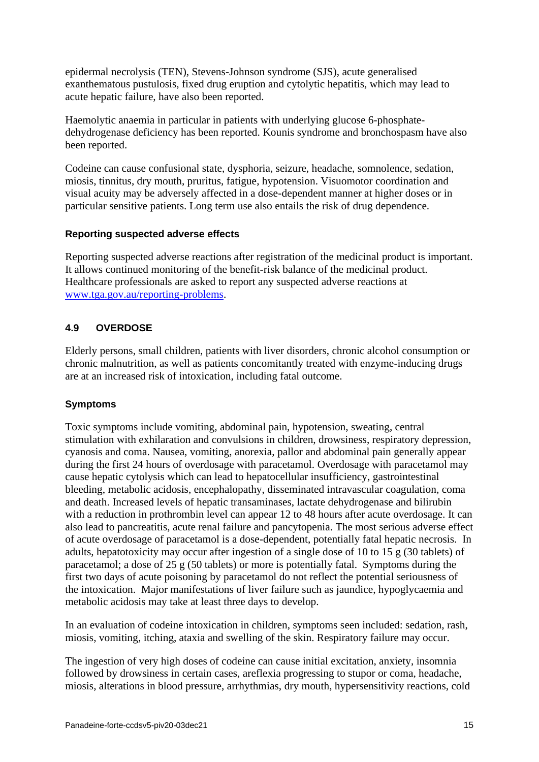epidermal necrolysis (TEN), Stevens-Johnson syndrome (SJS), acute generalised exanthematous pustulosis, fixed drug eruption and cytolytic hepatitis, which may lead to acute hepatic failure, have also been reported.

Haemolytic anaemia in particular in patients with underlying glucose 6-phosphatedehydrogenase deficiency has been reported. Kounis syndrome and bronchospasm have also been reported.

Codeine can cause confusional state, dysphoria, seizure, headache, somnolence, sedation, miosis, tinnitus, dry mouth, pruritus, fatigue, hypotension. Visuomotor coordination and visual acuity may be adversely affected in a dose-dependent manner at higher doses or in particular sensitive patients. Long term use also entails the risk of drug dependence.

## **Reporting suspected adverse effects**

Reporting suspected adverse reactions after registration of the medicinal product is important. It allows continued monitoring of the benefit-risk balance of the medicinal product. Healthcare professionals are asked to report any suspected adverse reactions at [www.tga.gov.au/reporting-problems.](http://www.tga.gov.au/reporting-problems)

## **4.9 OVERDOSE**

Elderly persons, small children, patients with liver disorders, chronic alcohol consumption or chronic malnutrition, as well as patients concomitantly treated with enzyme-inducing drugs are at an increased risk of intoxication, including fatal outcome.

## **Symptoms**

Toxic symptoms include vomiting, abdominal pain, hypotension, sweating, central stimulation with exhilaration and convulsions in children, drowsiness, respiratory depression, cyanosis and coma. Nausea, vomiting, anorexia, pallor and abdominal pain generally appear during the first 24 hours of overdosage with paracetamol. Overdosage with paracetamol may cause hepatic cytolysis which can lead to hepatocellular insufficiency, gastrointestinal bleeding, metabolic acidosis, encephalopathy, disseminated intravascular coagulation, coma and death. Increased levels of hepatic transaminases, lactate dehydrogenase and bilirubin with a reduction in prothrombin level can appear 12 to 48 hours after acute overdosage. It can also lead to pancreatitis, acute renal failure and pancytopenia. The most serious adverse effect of acute overdosage of paracetamol is a dose-dependent, potentially fatal hepatic necrosis. In adults, hepatotoxicity may occur after ingestion of a single dose of 10 to 15 g (30 tablets) of paracetamol; a dose of 25 g (50 tablets) or more is potentially fatal. Symptoms during the first two days of acute poisoning by paracetamol do not reflect the potential seriousness of the intoxication. Major manifestations of liver failure such as jaundice, hypoglycaemia and metabolic acidosis may take at least three days to develop.

In an evaluation of codeine intoxication in children, symptoms seen included: sedation, rash, miosis, vomiting, itching, ataxia and swelling of the skin. Respiratory failure may occur.

The ingestion of very high doses of codeine can cause initial excitation, anxiety, insomnia followed by drowsiness in certain cases, areflexia progressing to stupor or coma, headache, miosis, alterations in blood pressure, arrhythmias, dry mouth, hypersensitivity reactions, cold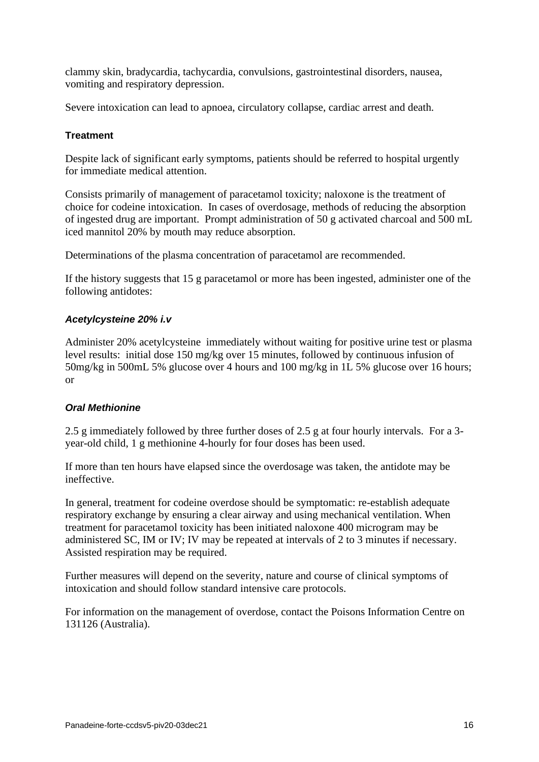clammy skin, bradycardia, tachycardia, convulsions, gastrointestinal disorders, nausea, vomiting and respiratory depression.

Severe intoxication can lead to apnoea, circulatory collapse, cardiac arrest and death.

## **Treatment**

Despite lack of significant early symptoms, patients should be referred to hospital urgently for immediate medical attention.

Consists primarily of management of paracetamol toxicity; naloxone is the treatment of choice for codeine intoxication. In cases of overdosage, methods of reducing the absorption of ingested drug are important. Prompt administration of 50 g activated charcoal and 500 mL iced mannitol 20% by mouth may reduce absorption.

Determinations of the plasma concentration of paracetamol are recommended.

If the history suggests that 15 g paracetamol or more has been ingested, administer one of the following antidotes:

### *Acetylcysteine 20% i.v*

Administer 20% acetylcysteine immediately without waiting for positive urine test or plasma level results: initial dose 150 mg/kg over 15 minutes, followed by continuous infusion of 50mg/kg in 500mL 5% glucose over 4 hours and 100 mg/kg in 1L 5% glucose over 16 hours; or

### *Oral Methionine*

2.5 g immediately followed by three further doses of 2.5 g at four hourly intervals. For a 3 year-old child, 1 g methionine 4-hourly for four doses has been used.

If more than ten hours have elapsed since the overdosage was taken, the antidote may be ineffective.

In general, treatment for codeine overdose should be symptomatic: re-establish adequate respiratory exchange by ensuring a clear airway and using mechanical ventilation. When treatment for paracetamol toxicity has been initiated naloxone 400 microgram may be administered SC, IM or IV; IV may be repeated at intervals of 2 to 3 minutes if necessary. Assisted respiration may be required.

Further measures will depend on the severity, nature and course of clinical symptoms of intoxication and should follow standard intensive care protocols.

For information on the management of overdose, contact the Poisons Information Centre on 131126 (Australia).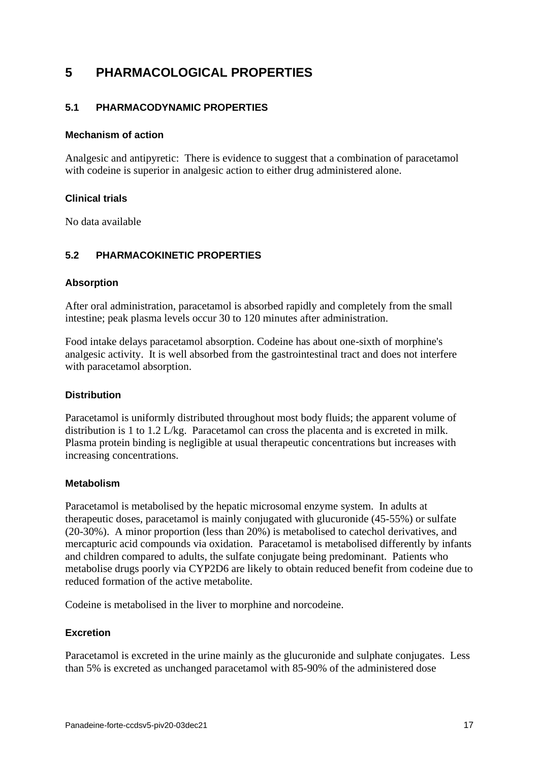# **5 PHARMACOLOGICAL PROPERTIES**

## **5.1 PHARMACODYNAMIC PROPERTIES**

#### **Mechanism of action**

Analgesic and antipyretic: There is evidence to suggest that a combination of paracetamol with codeine is superior in analgesic action to either drug administered alone.

### **Clinical trials**

No data available

## **5.2 PHARMACOKINETIC PROPERTIES**

#### **Absorption**

After oral administration, paracetamol is absorbed rapidly and completely from the small intestine; peak plasma levels occur 30 to 120 minutes after administration.

Food intake delays paracetamol absorption. Codeine has about one-sixth of morphine's analgesic activity. It is well absorbed from the gastrointestinal tract and does not interfere with paracetamol absorption.

### **Distribution**

Paracetamol is uniformly distributed throughout most body fluids; the apparent volume of distribution is 1 to 1.2 L/kg. Paracetamol can cross the placenta and is excreted in milk. Plasma protein binding is negligible at usual therapeutic concentrations but increases with increasing concentrations.

### **Metabolism**

Paracetamol is metabolised by the hepatic microsomal enzyme system. In adults at therapeutic doses, paracetamol is mainly conjugated with glucuronide (45-55%) or sulfate (20-30%). A minor proportion (less than 20%) is metabolised to catechol derivatives, and mercapturic acid compounds via oxidation. Paracetamol is metabolised differently by infants and children compared to adults, the sulfate conjugate being predominant. Patients who metabolise drugs poorly via CYP2D6 are likely to obtain reduced benefit from codeine due to reduced formation of the active metabolite.

Codeine is metabolised in the liver to morphine and norcodeine.

### **Excretion**

Paracetamol is excreted in the urine mainly as the glucuronide and sulphate conjugates. Less than 5% is excreted as unchanged paracetamol with 85-90% of the administered dose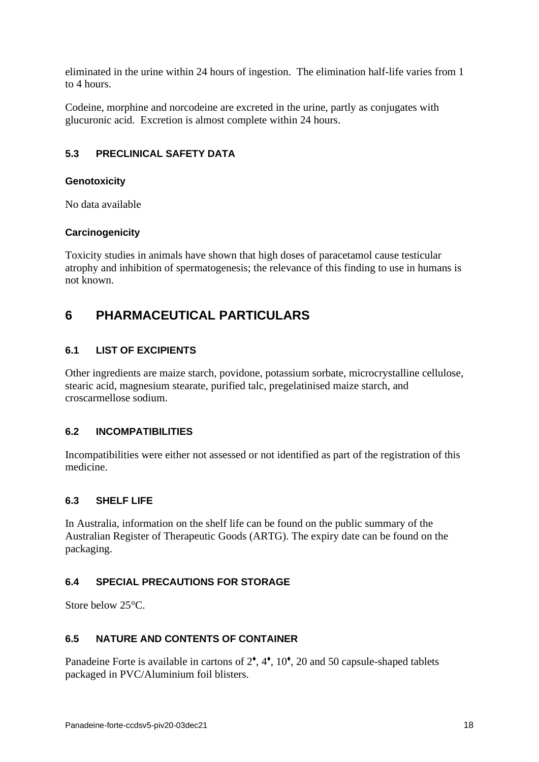eliminated in the urine within 24 hours of ingestion. The elimination half-life varies from 1 to 4 hours.

Codeine, morphine and norcodeine are excreted in the urine, partly as conjugates with glucuronic acid. Excretion is almost complete within 24 hours.

# <span id="page-17-1"></span>**5.3 PRECLINICAL SAFETY DATA**

## **Genotoxicity**

No data available

## **Carcinogenicity**

Toxicity studies in animals have shown that high doses of paracetamol cause testicular atrophy and inhibition of spermatogenesis; the relevance of this finding to use in humans is not known.

# <span id="page-17-0"></span>**6 PHARMACEUTICAL PARTICULARS**

## **6.1 LIST OF EXCIPIENTS**

Other ingredients are maize starch, povidone, potassium sorbate, microcrystalline cellulose, stearic acid, magnesium stearate, purified talc, pregelatinised maize starch, and croscarmellose sodium.

### **6.2 INCOMPATIBILITIES**

Incompatibilities were either not assessed or not identified as part of the registration of this medicine.

### **6.3 SHELF LIFE**

In Australia, information on the shelf life can be found on the public summary of the Australian Register of Therapeutic Goods (ARTG). The expiry date can be found on the packaging.

## **6.4 SPECIAL PRECAUTIONS FOR STORAGE**

Store below 25<sup>°</sup>C.

## **6.5 NATURE AND CONTENTS OF CONTAINER**

Panadeine Forte is available in cartons of  $2^{\bullet}$ ,  $4^{\bullet}$ ,  $10^{\bullet}$ ,  $20$  and 50 capsule-shaped tablets packaged in PVC/Aluminium foil blisters.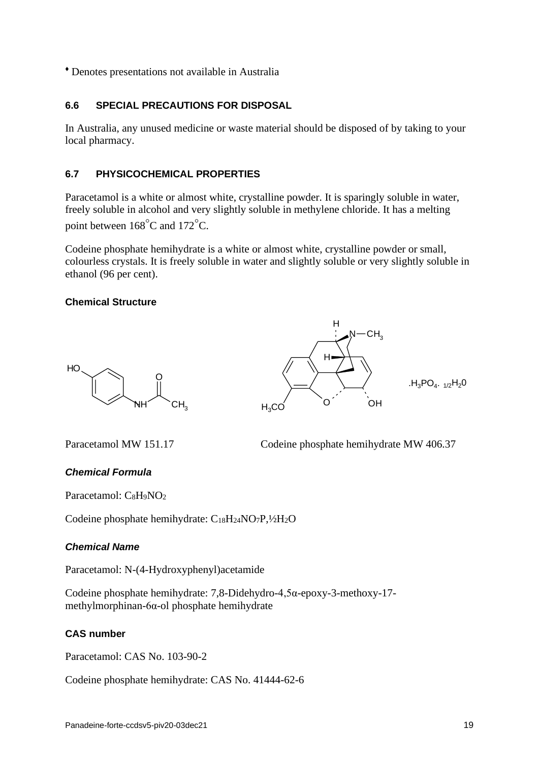♦ Denotes presentations not available in Australia

## **6.6 SPECIAL PRECAUTIONS FOR DISPOSAL**

In Australia, any unused medicine or waste material should be disposed of by taking to your local pharmacy.

## **6.7 PHYSICOCHEMICAL PROPERTIES**

Paracetamol is a white or almost white, crystalline powder. It is sparingly soluble in water, freely soluble in alcohol and very slightly soluble in methylene chloride. It has a melting point between  $168^{\circ}$ C and  $172^{\circ}$ C.

Codeine phosphate hemihydrate is a white or almost white, crystalline powder or small, colourless crystals. It is freely soluble in water and slightly soluble or very slightly soluble in ethanol (96 per cent).

## **Chemical Structure**





Paracetamol MW 151.17 Codeine phosphate hemihydrate MW 406.37

### *Chemical Formula*

Paracetamol: C<sub>8</sub>H<sub>9</sub>NO<sub>2</sub>

Codeine phosphate hemihydrate: C18H24NO7P,½H2O

### *Chemical Name*

Paracetamol: N-(4-Hydroxyphenyl)acetamide

Codeine phosphate hemihydrate: 7,8-Didehydro-4,5α-epoxy-3-methoxy-17 methylmorphinan-6α-ol phosphate hemihydrate

## **CAS number**

Paracetamol: CAS No. 103-90-2

Codeine phosphate hemihydrate: CAS No. 41444-62-6